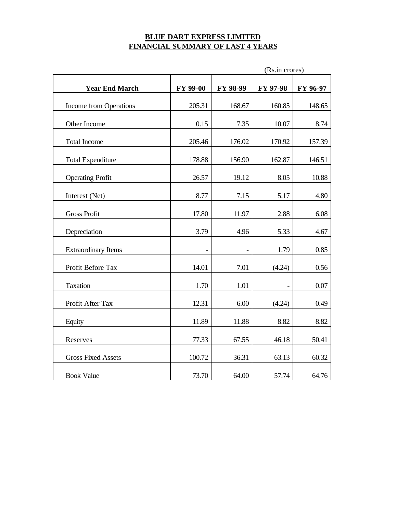# **BLUE DART EXPRESS LIMITED FINANCIAL SUMMARY OF LAST 4 YEARS**

|                            |                 |          | (Rs.in crores) |          |
|----------------------------|-----------------|----------|----------------|----------|
| <b>Year End March</b>      | <b>FY 99-00</b> | FY 98-99 | FY 97-98       | FY 96-97 |
| Income from Operations     | 205.31          | 168.67   | 160.85         | 148.65   |
| Other Income               | 0.15            | 7.35     | 10.07          | 8.74     |
| <b>Total Income</b>        | 205.46          | 176.02   | 170.92         | 157.39   |
| <b>Total Expenditure</b>   | 178.88          | 156.90   | 162.87         | 146.51   |
| <b>Operating Profit</b>    | 26.57           | 19.12    | 8.05           | 10.88    |
| Interest (Net)             | 8.77            | 7.15     | 5.17           | 4.80     |
| <b>Gross Profit</b>        | 17.80           | 11.97    | 2.88           | 6.08     |
| Depreciation               | 3.79            | 4.96     | 5.33           | 4.67     |
| <b>Extraordinary Items</b> |                 |          | 1.79           | 0.85     |
| Profit Before Tax          | 14.01           | 7.01     | (4.24)         | 0.56     |
| Taxation                   | 1.70            | 1.01     |                | 0.07     |
| Profit After Tax           | 12.31           | 6.00     | (4.24)         | 0.49     |
| Equity                     | 11.89           | 11.88    | 8.82           | 8.82     |
| Reserves                   | 77.33           | 67.55    | 46.18          | 50.41    |
| <b>Gross Fixed Assets</b>  | 100.72          | 36.31    | 63.13          | 60.32    |
| <b>Book Value</b>          | 73.70           | 64.00    | 57.74          | 64.76    |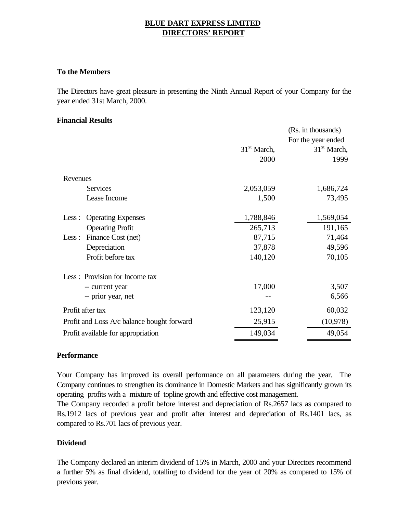# **BLUE DART EXPRESS LIMITED DIRECTORS' REPORT**

### **To the Members**

The Directors have great pleasure in presenting the Ninth Annual Report of your Company for the year ended 31st March, 2000.

### **Financial Results**

|                                            |               | (Rs. in thousands) |
|--------------------------------------------|---------------|--------------------|
|                                            |               | For the year ended |
|                                            | $31st$ March, | $31st$ March,      |
|                                            | 2000          | 1999               |
| Revenues                                   |               |                    |
| <b>Services</b>                            | 2,053,059     | 1,686,724          |
| Lease Income                               | 1,500         | 73,495             |
| <b>Operating Expenses</b><br>Less :        | 1,788,846     | 1,569,054          |
| <b>Operating Profit</b>                    | 265,713       | 191,165            |
| Finance Cost (net)<br>Less:                | 87,715        | 71,464             |
| Depreciation                               | 37,878        | 49,596             |
| Profit before tax                          | 140,120       | 70,105             |
| Less: Provision for Income tax             |               |                    |
| -- current year                            | 17,000        | 3,507              |
| -- prior year, net                         |               | 6,566              |
| Profit after tax                           | 123,120       | 60,032             |
| Profit and Loss A/c balance bought forward | 25,915        | (10, 978)          |
| Profit available for appropriation         | 149,034       | 49,054             |

### **Performance**

Your Company has improved its overall performance on all parameters during the year. The Company continues to strengthen its dominance in Domestic Markets and has significantly grown its operating profits with a mixture of topline growth and effective cost management.

The Company recorded a profit before interest and depreciation of Rs.2657 lacs as compared to Rs.1912 lacs of previous year and profit after interest and depreciation of Rs.1401 lacs, as compared to Rs.701 lacs of previous year.

### **Dividend**

The Company declared an interim dividend of 15% in March, 2000 and your Directors recommend a further 5% as final dividend, totalling to dividend for the year of 20% as compared to 15% of previous year.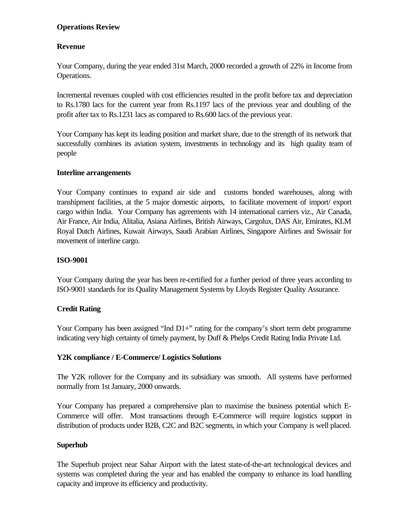# **Operations Review**

# **Revenue**

Your Company, during the year ended 31st March, 2000 recorded a growth of 22% in Income from Operations.

Incremental revenues coupled with cost efficiencies resulted in the profit before tax and depreciation to Rs.1780 lacs for the current year from Rs.1197 lacs of the previous year and doubling of the profit after tax to Rs.1231 lacs as compared to Rs.600 lacs of the previous year.

Your Company has kept its leading position and market share, due to the strength of its network that successfully combines its aviation system, investments in technology and its high quality team of people

# **Interline arrangements**

Your Company continues to expand air side and customs bonded warehouses, along with transhipment facilities, at the 5 major domestic airports, to facilitate movement of import/ export cargo within India. Your Company has agreements with 14 international carriers viz., Air Canada, Air France, Air India, Alitalia, Asiana Airlines, British Airways, Cargolux, DAS Air, Emirates, KLM Royal Dutch Airlines, Kuwait Airways, Saudi Arabian Airlines, Singapore Airlines and Swissair for movement of interline cargo.

# **ISO-9001**

Your Company during the year has been re-certified for a further period of three years according to ISO-9001 standards for its Quality Management Systems by Lloyds Register Quality Assurance.

# **Credit Rating**

Your Company has been assigned "Ind  $D1+$ " rating for the company's short term debt programme indicating very high certainty of timely payment, by Duff & Phelps Credit Rating India Private Ltd.

# **Y2K compliance / E-Commerce/ Logistics Solutions**

The Y2K rollover for the Company and its subsidiary was smooth. All systems have performed normally from 1st January, 2000 onwards.

Your Company has prepared a comprehensive plan to maximise the business potential which E-Commerce will offer. Most transactions through E-Commerce will require logistics support in distribution of products under B2B, C2C and B2C segments, in which your Company is well placed.

# **Superhub**

The Superhub project near Sahar Airport with the latest state-of-the-art technological devices and systems was completed during the year and has enabled the company to enhance its load handling capacity and improve its efficiency and productivity.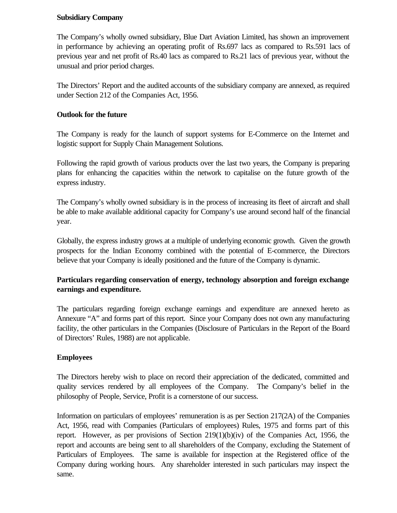## **Subsidiary Company**

The Company's wholly owned subsidiary, Blue Dart Aviation Limited, has shown an improvement in performance by achieving an operating profit of Rs.697 lacs as compared to Rs.591 lacs of previous year and net profit of Rs.40 lacs as compared to Rs.21 lacs of previous year, without the unusual and prior period charges.

The Directors' Report and the audited accounts of the subsidiary company are annexed, as required under Section 212 of the Companies Act, 1956.

# **Outlook for the future**

The Company is ready for the launch of support systems for E-Commerce on the Internet and logistic support for Supply Chain Management Solutions.

Following the rapid growth of various products over the last two years, the Company is preparing plans for enhancing the capacities within the network to capitalise on the future growth of the express industry.

The Company's wholly owned subsidiary is in the process of increasing its fleet of aircraft and shall be able to make available additional capacity for Company's use around second half of the financial year.

Globally, the express industry grows at a multiple of underlying economic growth. Given the growth prospects for the Indian Economy combined with the potential of E-commerce, the Directors believe that your Company is ideally positioned and the future of the Company is dynamic.

# **Particulars regarding conservation of energy, technology absorption and foreign exchange earnings and expenditure.**

The particulars regarding foreign exchange earnings and expenditure are annexed hereto as Annexure "A" and forms part of this report. Since your Company does not own any manufacturing facility, the other particulars in the Companies (Disclosure of Particulars in the Report of the Board of Directors' Rules, 1988) are not applicable.

# **Employees**

The Directors hereby wish to place on record their appreciation of the dedicated, committed and quality services rendered by all employees of the Company. The Company's belief in the philosophy of People, Service, Profit is a cornerstone of our success.

Information on particulars of employees' remuneration is as per Section 217(2A) of the Companies Act, 1956, read with Companies (Particulars of employees) Rules, 1975 and forms part of this report. However, as per provisions of Section  $219(1)(b)(iv)$  of the Companies Act, 1956, the report and accounts are being sent to all shareholders of the Company, excluding the Statement of Particulars of Employees. The same is available for inspection at the Registered office of the Company during working hours. Any shareholder interested in such particulars may inspect the same.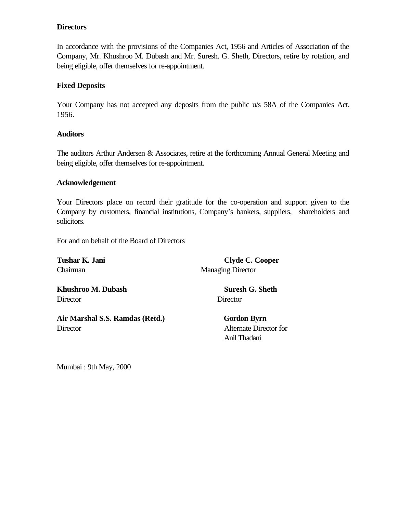## **Directors**

In accordance with the provisions of the Companies Act, 1956 and Articles of Association of the Company, Mr. Khushroo M. Dubash and Mr. Suresh. G. Sheth, Directors, retire by rotation, and being eligible, offer themselves for re-appointment.

# **Fixed Deposits**

Your Company has not accepted any deposits from the public u/s 58A of the Companies Act, 1956.

### **Auditors**

The auditors Arthur Andersen & Associates, retire at the forthcoming Annual General Meeting and being eligible, offer themselves for re-appointment.

### **Acknowledgement**

Your Directors place on record their gratitude for the co-operation and support given to the Company by customers, financial institutions, Company's bankers, suppliers, shareholders and solicitors.

For and on behalf of the Board of Directors

Tushar K. Jani **Clyde C. Cooper** Chairman Managing Director

**Khushroo M. Dubash Suresh G. Sheth** Director Director

Air Marshal S.S. Ramdas (Retd.) **Gordon Byrn** Director Alternate Director for

Anil Thadani

Mumbai : 9th May, 2000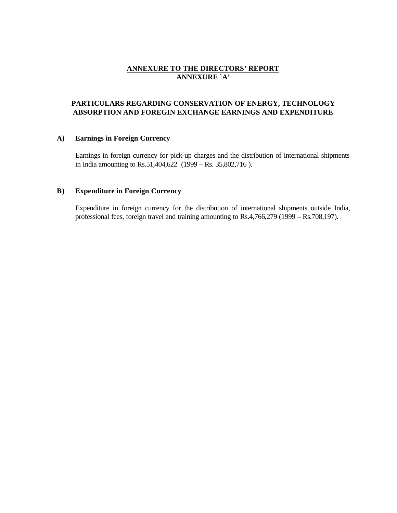### **ANNEXURE TO THE DIRECTORS' REPORT ANNEXURE `A'**

### **PARTICULARS REGARDING CONSERVATION OF ENERGY, TECHNOLOGY ABSORPTION AND FOREGIN EXCHANGE EARNINGS AND EXPENDITURE**

#### **A) Earnings in Foreign Currency**

Earnings in foreign currency for pick-up charges and the distribution of international shipments in India amounting to Rs.51,404,622 (1999 – Rs. 35,802,716 ).

#### **B) Expenditure in Foreign Currency**

Expenditure in foreign currency for the distribution of international shipments outside India, professional fees, foreign travel and training amounting to Rs.4,766,279 (1999 – Rs.708,197).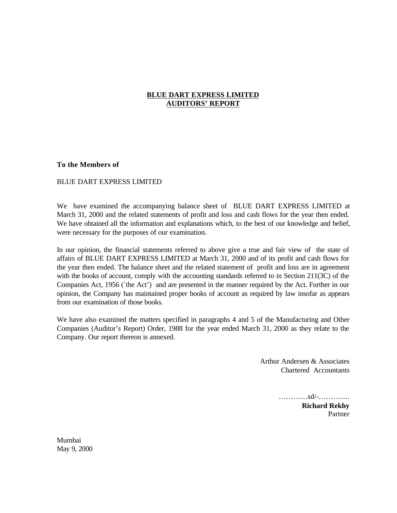### **BLUE DART EXPRESS LIMITED AUDITORS' REPORT**

#### **To the Members of**

#### BLUE DART EXPRESS LIMITED

We have examined the accompanying balance sheet of BLUE DART EXPRESS LIMITED at March 31, 2000 and the related statements of profit and loss and cash flows for the year then ended. We have obtained all the information and explanations which, to the best of our knowledge and belief, were necessary for the purposes of our examination.

In our opinion, the financial statements referred to above give a true and fair view of the state of affairs of BLUE DART EXPRESS LIMITED at March 31, 2000 and of its profit and cash flows for the year then ended. The balance sheet and the related statement of profit and loss are in agreement with the books of account, comply with the accounting standards referred to in Section 211(3C) of the Companies Act, 1956 (`the Act') and are presented in the manner required by the Act. Further in our opinion, the Company has maintained proper books of account as required by law insofar as appears from our examination of those books.

We have also examined the matters specified in paragraphs 4 and 5 of the Manufacturing and Other Companies (Auditor's Report) Order, 1988 for the year ended March 31, 2000 as they relate to the Company. Our report thereon is annexed.

> Arthur Andersen & Associates Chartered Accountants

> > …………sd/-………….

**Richard Rekhy** Partner

Mumbai May 9, 2000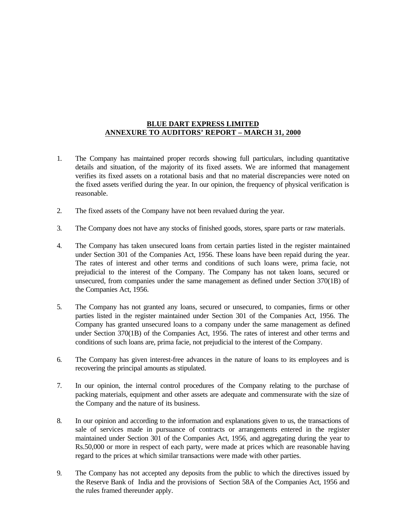### **BLUE DART EXPRESS LIMITED ANNEXURE TO AUDITORS' REPORT – MARCH 31, 2000**

- 1. The Company has maintained proper records showing full particulars, including quantitative details and situation, of the majority of its fixed assets. We are informed that management verifies its fixed assets on a rotational basis and that no material discrepancies were noted on the fixed assets verified during the year. In our opinion, the frequency of physical verification is reasonable.
- 2. The fixed assets of the Company have not been revalued during the year.
- 3. The Company does not have any stocks of finished goods, stores, spare parts or raw materials.
- 4. The Company has taken unsecured loans from certain parties listed in the register maintained under Section 301 of the Companies Act, 1956. These loans have been repaid during the year. The rates of interest and other terms and conditions of such loans were, prima facie, not prejudicial to the interest of the Company. The Company has not taken loans, secured or unsecured, from companies under the same management as defined under Section 370(1B) of the Companies Act, 1956.
- 5. The Company has not granted any loans, secured or unsecured, to companies, firms or other parties listed in the register maintained under Section 301 of the Companies Act, 1956. The Company has granted unsecured loans to a company under the same management as defined under Section 370(1B) of the Companies Act, 1956. The rates of interest and other terms and conditions of such loans are, prima facie, not prejudicial to the interest of the Company.
- 6. The Company has given interest-free advances in the nature of loans to its employees and is recovering the principal amounts as stipulated.
- 7. In our opinion, the internal control procedures of the Company relating to the purchase of packing materials, equipment and other assets are adequate and commensurate with the size of the Company and the nature of its business.
- 8. In our opinion and according to the information and explanations given to us, the transactions of sale of services made in pursuance of contracts or arrangements entered in the register maintained under Section 301 of the Companies Act, 1956, and aggregating during the year to Rs.50,000 or more in respect of each party, were made at prices which are reasonable having regard to the prices at which similar transactions were made with other parties.
- 9. The Company has not accepted any deposits from the public to which the directives issued by the Reserve Bank of India and the provisions of Section 58A of the Companies Act, 1956 and the rules framed thereunder apply.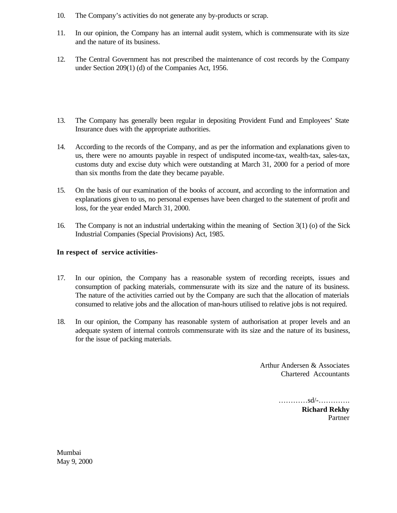- 10. The Company's activities do not generate any by-products or scrap.
- 11. In our opinion, the Company has an internal audit system, which is commensurate with its size and the nature of its business.
- 12. The Central Government has not prescribed the maintenance of cost records by the Company under Section 209(1) (d) of the Companies Act, 1956.
- 13. The Company has generally been regular in depositing Provident Fund and Employees' State Insurance dues with the appropriate authorities.
- 14. According to the records of the Company, and as per the information and explanations given to us, there were no amounts payable in respect of undisputed income-tax, wealth-tax, sales-tax, customs duty and excise duty which were outstanding at March 31, 2000 for a period of more than six months from the date they became payable.
- 15. On the basis of our examination of the books of account, and according to the information and explanations given to us, no personal expenses have been charged to the statement of profit and loss, for the year ended March 31, 2000.
- 16. The Company is not an industrial undertaking within the meaning of Section 3(1) (o) of the Sick Industrial Companies (Special Provisions) Act, 1985.

### **In respect of service activities-**

- 17. In our opinion, the Company has a reasonable system of recording receipts, issues and consumption of packing materials, commensurate with its size and the nature of its business. The nature of the activities carried out by the Company are such that the allocation of materials consumed to relative jobs and the allocation of man-hours utilised to relative jobs is not required.
- 18. In our opinion, the Company has reasonable system of authorisation at proper levels and an adequate system of internal controls commensurate with its size and the nature of its business, for the issue of packing materials.

Arthur Andersen & Associates Chartered Accountants

…………sd/-………….

**Richard Rekhy** Partner

Mumbai May 9, 2000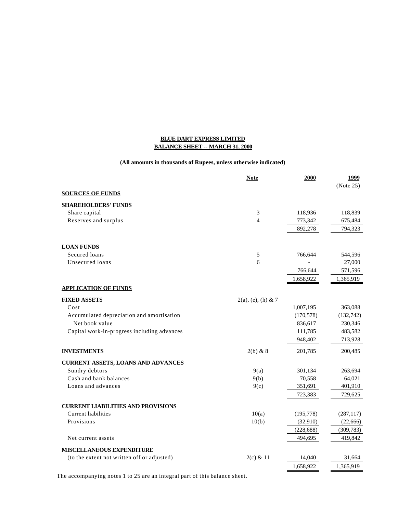#### **BLUE DART EXPRESS LIMITED BALANCE SHEET -- MARCH 31, 2000**

#### **(All amounts in thousands of Rupees, unless otherwise indicated)**

|                                             | <b>Note</b>           | 2000       | 1999       |
|---------------------------------------------|-----------------------|------------|------------|
|                                             |                       |            | (Note 25)  |
| <b>SOURCES OF FUNDS</b>                     |                       |            |            |
| <b>SHAREHOLDERS' FUNDS</b>                  |                       |            |            |
| Share capital                               | 3                     | 118,936    | 118,839    |
| Reserves and surplus                        | $\overline{4}$        | 773,342    | 675,484    |
|                                             |                       | 892,278    | 794,323    |
| <b>LOAN FUNDS</b>                           |                       |            |            |
| Secured loans                               | 5                     | 766,644    | 544,596    |
| Unsecured loans                             | 6                     |            | 27,000     |
|                                             |                       | 766,644    | 571,596    |
|                                             |                       | 1,658,922  | 1,365,919  |
| <b>APPLICATION OF FUNDS</b>                 |                       |            |            |
| <b>FIXED ASSETS</b>                         | $2(a)$ , (e), (h) & 7 |            |            |
| Cost                                        |                       | 1,007,195  | 363,088    |
| Accumulated depreciation and amortisation   |                       | (170, 578) | (132, 742) |
| Net book value                              |                       | 836,617    | 230,346    |
| Capital work-in-progress including advances |                       | 111,785    | 483,582    |
|                                             |                       | 948,402    | 713,928    |
| <b>INVESTMENTS</b>                          | 2(b) & 8              | 201,785    | 200,485    |
| <b>CURRENT ASSETS, LOANS AND ADVANCES</b>   |                       |            |            |
| Sundry debtors                              | 9(a)                  | 301,134    | 263,694    |
| Cash and bank balances                      | 9(b)                  | 70,558     | 64,021     |
| Loans and advances                          | 9(c)                  | 351,691    | 401,910    |
|                                             |                       | 723,383    | 729,625    |
| <b>CURRENT LIABILITIES AND PROVISIONS</b>   |                       |            |            |
| <b>Current liabilities</b>                  | 10(a)                 | (195, 778) | (287, 117) |
| Provisions                                  | 10(b)                 | (32,910)   | (22, 666)  |
|                                             |                       | (228, 688) | (309, 783) |
| Net current assets                          |                       | 494,695    | 419,842    |
| <b>MISCELLANEOUS EXPENDITURE</b>            |                       |            |            |
| (to the extent not written off or adjusted) | $2(c)$ & 11           | 14,040     | 31,664     |
|                                             |                       | 1,658,922  | 1,365,919  |

The accompanying notes 1 to 25 are an integral part of this balance sheet.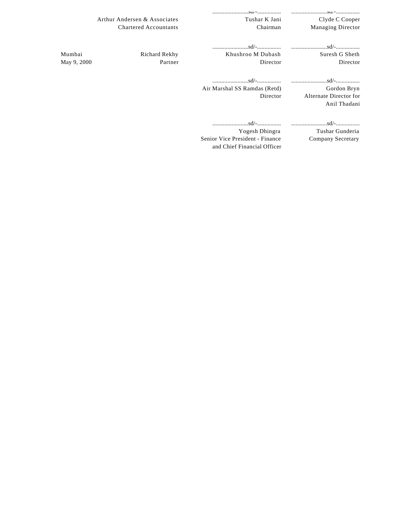|                              |                                                                | Clyde C Cooper                         |
|------------------------------|----------------------------------------------------------------|----------------------------------------|
| <b>Chartered Accountants</b> | Chairman                                                       | <b>Managing Director</b>               |
|                              |                                                                |                                        |
|                              | Khushroo M Dubash                                              | Suresh G Sheth                         |
| Partner                      | Director                                                       | Director                               |
|                              |                                                                |                                        |
|                              | Air Marshal SS Ramdas (Retd)                                   | Gordon Bryn                            |
|                              | Director                                                       | Alternate Director for<br>Anil Thadani |
|                              |                                                                |                                        |
|                              | Yogesh Dhingra                                                 | Tushar Gunderia                        |
|                              | Senior Vice President - Finance<br>and Chief Financial Officer | Company Secretary                      |
|                              | Arthur Andersen & Associates<br>Richard Rekhy                  | Tushar K Jani                          |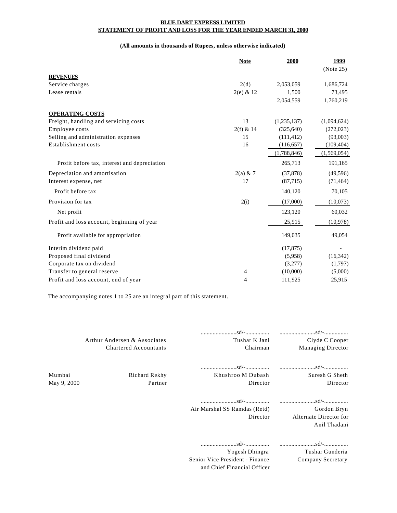#### **BLUE DART EXPRESS LIMITED STATEMENT OF PROFIT AND LOSS FOR THE YEAR ENDED MARCH 31, 2000**

#### **(All amounts in thousands of Rupees, unless otherwise indicated)**

|                                              | <b>Note</b> | 2000        | 1999        |
|----------------------------------------------|-------------|-------------|-------------|
|                                              |             |             | (Note 25)   |
| <b>REVENUES</b>                              |             |             |             |
| Service charges                              | 2(d)        | 2,053,059   | 1,686,724   |
| Lease rentals                                | $2(e)$ & 12 | 1,500       | 73,495      |
|                                              |             | 2,054,559   | 1,760,219   |
| <b>OPERATING COSTS</b>                       |             |             |             |
| Freight, handling and servicing costs        | 13          | (1,235,137) | (1,094,624) |
| Employee costs                               | $2(f)$ & 14 | (325, 640)  | (272, 023)  |
| Selling and administration expenses          | 15          | (111, 412)  | (93,003)    |
| Establishment costs                          | 16          | (116, 657)  | (109, 404)  |
|                                              |             | (1,788,846) | (1,569,054) |
| Profit before tax, interest and depreciation |             | 265,713     | 191,165     |
| Depreciation and amortisation                | $2(a)$ & 7  | (37, 878)   | (49, 596)   |
| Interest expense, net                        | 17          | (87, 715)   | (71, 464)   |
| Profit before tax                            |             | 140,120     | 70,105      |
| Provision for tax                            | 2(i)        | (17,000)    | (10,073)    |
| Net profit                                   |             | 123,120     | 60,032      |
| Profit and loss account, beginning of year   |             | 25,915      | (10, 978)   |
| Profit available for appropriation           |             | 149,035     | 49,054      |
| Interim dividend paid                        |             | (17, 875)   |             |
| Proposed final dividend                      |             | (5,958)     | (16, 342)   |
| Corporate tax on dividend                    |             | (3,277)     | (1,797)     |
| Transfer to general reserve                  | 4           | (10,000)    | (5,000)     |
| Profit and loss account, end of year         | 4           | 111,925     | 25,915      |

The accompanying notes 1 to 25 are an integral part of this statement.

|                       | Arthur Andersen & Associates<br><b>Chartered Accountants</b> | Tushar K Jani<br>Chairman                                                                                                                                                                                           | Clyde C Cooper<br>Managing Director                   |
|-----------------------|--------------------------------------------------------------|---------------------------------------------------------------------------------------------------------------------------------------------------------------------------------------------------------------------|-------------------------------------------------------|
| Mumbai<br>May 9, 2000 | Richard Rekhy<br>Partner                                     | Khushroo M Dubash<br>Director                                                                                                                                                                                       | Suresh G Sheth<br>Director                            |
|                       |                                                              | Air Marshal SS Ramdas (Retd)<br>Director                                                                                                                                                                            | Gordon Bryn<br>Alternate Director for<br>Anil Thadani |
|                       |                                                              | $\dots\dots\dots\dots\dots\dots s$ d/- $\dots\dots\dots\dots\dots\dots\dots\dots\dots\dots s$ d/- $\dots\dots\dots\dots\dots s$<br>Yogesh Dhingra<br>Senior Vice President - Finance<br>and Chief Financial Officer | Tushar Gunderia<br>Company Secretary                  |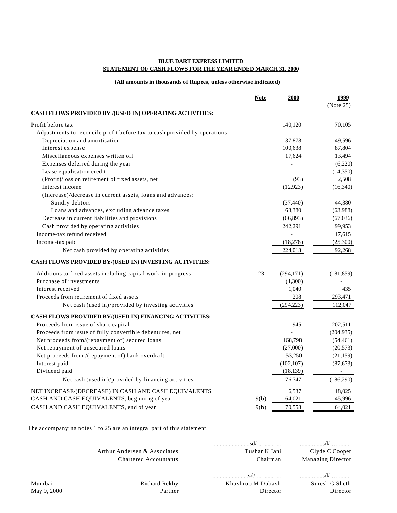### **BLUE DART EXPRESS LIMITED STATEMENT OF CASH FLOWS FOR THE YEAR ENDED MARCH 31, 2000**

#### **(All amounts in thousands of Rupees, unless otherwise indicated)**

|                                                                            | <b>Note</b> | 2000       | 1999                     |
|----------------------------------------------------------------------------|-------------|------------|--------------------------|
|                                                                            |             |            | (Note 25)                |
| CASH FLOWS PROVIDED BY /(USED IN) OPERATING ACTIVITIES:                    |             |            |                          |
| Profit before tax                                                          |             | 140,120    | 70,105                   |
| Adjustments to reconcile profit before tax to cash provided by operations: |             |            |                          |
| Depreciation and amortisation                                              |             | 37,878     | 49,596                   |
| Interest expense                                                           |             | 100,638    | 87,804                   |
| Miscellaneous expenses written off                                         |             | 17,624     | 13,494                   |
| Expenses deferred during the year                                          |             |            | (6,220)                  |
| Lease equalisation credit                                                  |             |            | (14,350)                 |
| (Profit)/loss on retirement of fixed assets, net                           |             | (93)       | 2,508                    |
| Interest income                                                            |             | (12, 923)  | (16,340)                 |
| (Increase)/decrease in current assets, loans and advances:                 |             |            |                          |
| Sundry debtors                                                             |             | (37, 440)  | 44,380                   |
| Loans and advances, excluding advance taxes                                |             | 63,380     | (63,988)                 |
| Decrease in current liabilities and provisions                             |             | (66, 893)  | (67,036)                 |
| Cash provided by operating activities                                      |             | 242,291    | 99,953                   |
| Income-tax refund received                                                 |             |            | 17,615                   |
| Income-tax paid                                                            |             | (18, 278)  | (25,300)                 |
| Net cash provided by operating activities                                  |             | 224,013    | 92,268                   |
| CASH FLOWS PROVIDED BY/(USED IN) INVESTING ACTIVITIES:                     |             |            |                          |
| Additions to fixed assets including capital work-in-progress               | 23          | (294, 171) | (181, 859)               |
| Purchase of investments                                                    |             | (1,300)    |                          |
| Interest received                                                          |             | 1,040      | 435                      |
| Proceeds from retirement of fixed assets                                   |             | 208        | 293,471                  |
| Net cash (used in)/provided by investing activities                        |             | (294, 223) | 112,047                  |
| CASH FLOWS PROVIDED BY/(USED IN) FINANCING ACTIVITIES:                     |             |            |                          |
| Proceeds from issue of share capital                                       |             | 1,945      | 202,511                  |
| Proceeds from issue of fully convertible debentures, net                   |             |            | (204, 935)               |
| Net proceeds from/(repayment of) secured loans                             |             | 168,798    | (54, 461)                |
| Net repayment of unsecured loans                                           |             | (27,000)   | (20, 573)                |
| Net proceeds from /(repayment of) bank overdraft                           |             | 53,250     | (21, 159)                |
| Interest paid                                                              |             | (102, 107) | (87,673)                 |
| Dividend paid                                                              |             | (18, 139)  | $\overline{\phantom{a}}$ |
| Net cash (used in)/provided by financing activities                        |             | 76,747     | (186,290)                |
| NET INCREASE/(DECREASE) IN CASH AND CASH EQUIVALENTS                       |             | 6,537      | 18,025                   |
| CASH AND CASH EQUIVALENTS, beginning of year                               | 9(b)        | 64,021     | 45,996                   |
| CASH AND CASH EQUIVALENTS, end of year                                     | 9(b)        | 70,558     | 64,021                   |

The accompanying notes 1 to 25 are an integral part of this statement.

|                       | Arthur Andersen & Associates<br><b>Chartered Accountants</b> | Tushar K Jani<br>Chairman                                 | $\ldots \ldots \ldots \ldots \ldots$ sd/-<br>Clyde C Cooper<br><b>Managing Director</b> |
|-----------------------|--------------------------------------------------------------|-----------------------------------------------------------|-----------------------------------------------------------------------------------------|
| Mumbai<br>May 9, 2000 | Richard Rekhy<br>Partner                                     | $sd/$ - $sd/$ - $\ldots$<br>Khushroo M Dubash<br>Director | Suresh G Sheth<br>Director                                                              |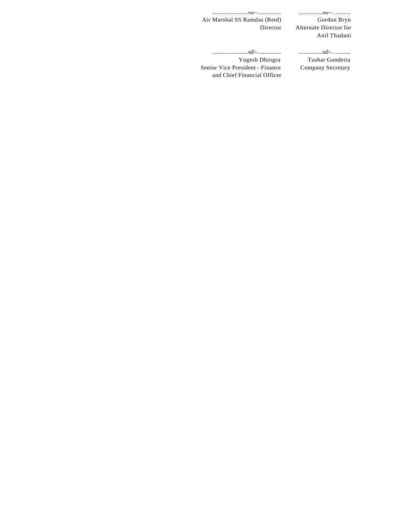........................sd/-................ ................sd/-….........

Gordon Bryn Alternate Director for Anil Thadani

........................sd/-................ ................sd/-…......... Yogesh Dhingra Senior Vice President - Finance and Chief Financial Officer

Air Marshal SS Ramdas (Retd)

Director

Tushar Gunderia Company Secretary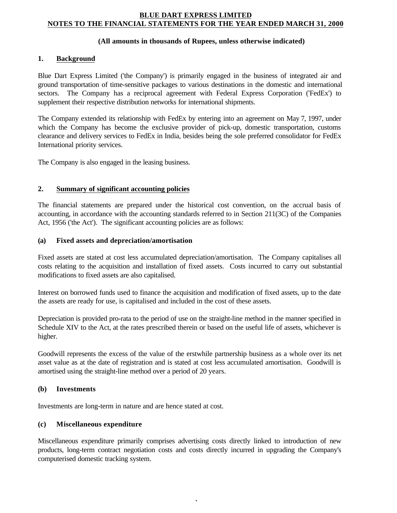### **BLUE DART EXPRESS LIMITED NOTES TO THE FINANCIAL STATEMENTS FOR THE YEAR ENDED MARCH 31, 2000**

### **(All amounts in thousands of Rupees, unless otherwise indicated)**

### **1. Background**

Blue Dart Express Limited ('the Company') is primarily engaged in the business of integrated air and ground transportation of time-sensitive packages to various destinations in the domestic and international sectors. The Company has a reciprocal agreement with Federal Express Corporation ('FedEx') to supplement their respective distribution networks for international shipments.

The Company extended its relationship with FedEx by entering into an agreement on May 7, 1997, under which the Company has become the exclusive provider of pick-up, domestic transportation, customs clearance and delivery services to FedEx in India, besides being the sole preferred consolidator for FedEx International priority services.

The Company is also engaged in the leasing business.

### **2. Summary of significant accounting policies**

The financial statements are prepared under the historical cost convention, on the accrual basis of accounting, in accordance with the accounting standards referred to in Section 211(3C) of the Companies Act, 1956 ('the Act'). The significant accounting policies are as follows:

### **(a) Fixed assets and depreciation/amortisation**

Fixed assets are stated at cost less accumulated depreciation/amortisation. The Company capitalises all costs relating to the acquisition and installation of fixed assets. Costs incurred to carry out substantial modifications to fixed assets are also capitalised.

Interest on borrowed funds used to finance the acquisition and modification of fixed assets, up to the date the assets are ready for use, is capitalised and included in the cost of these assets.

Depreciation is provided pro-rata to the period of use on the straight-line method in the manner specified in Schedule XIV to the Act, at the rates prescribed therein or based on the useful life of assets, whichever is higher.

Goodwill represents the excess of the value of the erstwhile partnership business as a whole over its net asset value as at the date of registration and is stated at cost less accumulated amortisation. Goodwill is amortised using the straight-line method over a period of 20 years.

### **(b) Investments**

Investments are long-term in nature and are hence stated at cost.

### **(c) Miscellaneous expenditure**

Miscellaneous expenditure primarily comprises advertising costs directly linked to introduction of new products, long-term contract negotiation costs and costs directly incurred in upgrading the Company's computerised domestic tracking system.

- 1-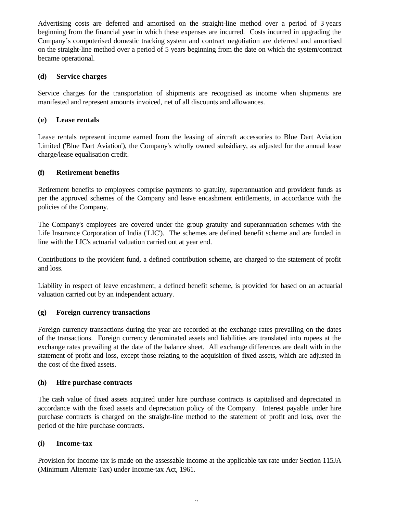Advertising costs are deferred and amortised on the straight-line method over a period of 3 years beginning from the financial year in which these expenses are incurred. Costs incurred in upgrading the Company's computerised domestic tracking system and contract negotiation are deferred and amortised on the straight-line method over a period of 5 years beginning from the date on which the system/contract became operational.

### **(d) Service charges**

Service charges for the transportation of shipments are recognised as income when shipments are manifested and represent amounts invoiced, net of all discounts and allowances.

### **(e) Lease rentals**

Lease rentals represent income earned from the leasing of aircraft accessories to Blue Dart Aviation Limited ('Blue Dart Aviation'), the Company's wholly owned subsidiary, as adjusted for the annual lease charge/lease equalisation credit.

### **(f) Retirement benefits**

Retirement benefits to employees comprise payments to gratuity, superannuation and provident funds as per the approved schemes of the Company and leave encashment entitlements, in accordance with the policies of the Company.

The Company's employees are covered under the group gratuity and superannuation schemes with the Life Insurance Corporation of India ('LIC'). The schemes are defined benefit scheme and are funded in line with the LIC's actuarial valuation carried out at year end.

Contributions to the provident fund, a defined contribution scheme, are charged to the statement of profit and loss.

Liability in respect of leave encashment, a defined benefit scheme, is provided for based on an actuarial valuation carried out by an independent actuary.

### **(g) Foreign currency transactions**

Foreign currency transactions during the year are recorded at the exchange rates prevailing on the dates of the transactions. Foreign currency denominated assets and liabilities are translated into rupees at the exchange rates prevailing at the date of the balance sheet. All exchange differences are dealt with in the statement of profit and loss, except those relating to the acquisition of fixed assets, which are adjusted in the cost of the fixed assets.

### **(h) Hire purchase contracts**

The cash value of fixed assets acquired under hire purchase contracts is capitalised and depreciated in accordance with the fixed assets and depreciation policy of the Company. Interest payable under hire purchase contracts is charged on the straight-line method to the statement of profit and loss, over the period of the hire purchase contracts.

### **(i) Income-tax**

Provision for income-tax is made on the assessable income at the applicable tax rate under Section 115JA (Minimum Alternate Tax) under Income-tax Act, 1961.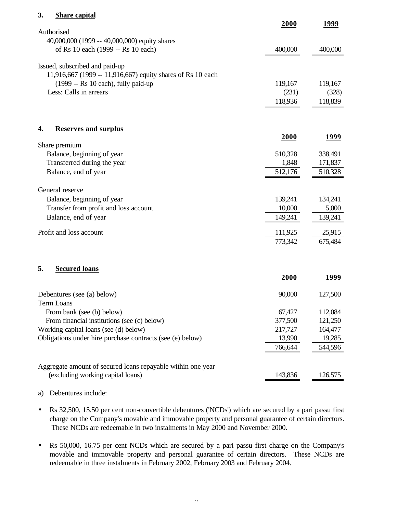### **3. Share capital**

|                                                             | 2000    | 1999    |
|-------------------------------------------------------------|---------|---------|
| Authorised                                                  |         |         |
| 40,000,000 (1999 -- 40,000,000) equity shares               |         |         |
| of Rs 10 each (1999 -- Rs 10 each)                          | 400,000 | 400,000 |
| Issued, subscribed and paid-up                              |         |         |
| 11,916,667 (1999 -- 11,916,667) equity shares of Rs 10 each |         |         |
| (1999 -- Rs 10 each), fully paid-up                         | 119,167 | 119,167 |
| Less: Calls in arrears                                      | (231)   | (328)   |
|                                                             |         |         |
|                                                             | 118,936 | 118,839 |
|                                                             |         |         |
| <b>Reserves and surplus</b><br>4.                           |         |         |
|                                                             | 2000    | 1999    |
| Share premium                                               |         |         |
| Balance, beginning of year                                  | 510,328 | 338,491 |
| Transferred during the year                                 | 1,848   | 171,837 |
| Balance, end of year                                        | 512,176 | 510,328 |
|                                                             |         |         |
| General reserve                                             |         |         |
| Balance, beginning of year                                  | 139,241 | 134,241 |
| Transfer from profit and loss account                       | 10,000  | 5,000   |
| Balance, end of year                                        | 149,241 | 139,241 |
|                                                             |         |         |
| Profit and loss account                                     | 111,925 | 25,915  |
|                                                             | 773,342 | 675,484 |
|                                                             |         |         |
|                                                             |         |         |

# **5. Secured loans**

|                                                             | 2000    | 1999    |
|-------------------------------------------------------------|---------|---------|
| Debentures (see (a) below)                                  | 90,000  | 127,500 |
| Term Loans                                                  |         |         |
| From bank (see (b) below)                                   | 67,427  | 112,084 |
| From financial institutions (see (c) below)                 | 377,500 | 121,250 |
| Working capital loans (see (d) below)                       | 217,727 | 164,477 |
| Obligations under hire purchase contracts (see (e) below)   | 13,990  | 19,285  |
|                                                             | 766,644 | 544,596 |
|                                                             |         |         |
| Aggregate amount of secured loans repayable within one year |         |         |
| (excluding working capital loans)                           | 143,836 | 126,575 |

#### a) Debentures include:

- Rs 32,500, 15.50 per cent non-convertible debentures ('NCDs') which are secured by a pari passu first charge on the Company's movable and immovable property and personal guarantee of certain directors. These NCDs are redeemable in two instalments in May 2000 and November 2000.
- Rs 50,000, 16.75 per cent NCDs which are secured by a pari passu first charge on the Company's movable and immovable property and personal guarantee of certain directors. These NCDs are redeemable in three instalments in February 2002, February 2003 and February 2004.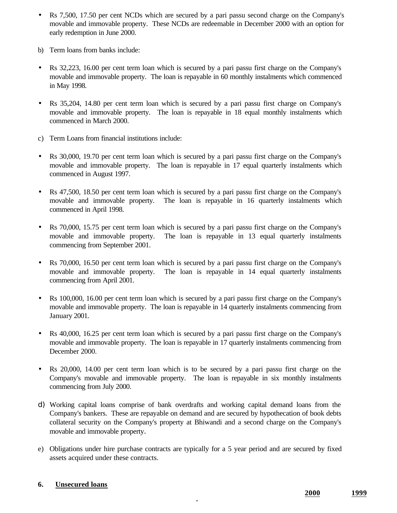- Rs 7,500, 17.50 per cent NCDs which are secured by a pari passu second charge on the Company's movable and immovable property. These NCDs are redeemable in December 2000 with an option for early redemption in June 2000.
- b) Term loans from banks include:
- Rs 32,223, 16.00 per cent term loan which is secured by a pari passu first charge on the Company's movable and immovable property. The loan is repayable in 60 monthly instalments which commenced in May 1998.
- Rs 35,204, 14.80 per cent term loan which is secured by a pari passu first charge on Company's movable and immovable property. The loan is repayable in 18 equal monthly instalments which commenced in March 2000.
- c) Term Loans from financial institutions include:
- Rs 30,000, 19.70 per cent term loan which is secured by a pari passu first charge on the Company's movable and immovable property. The loan is repayable in 17 equal quarterly instalments which commenced in August 1997.
- Rs 47,500, 18.50 per cent term loan which is secured by a pari passu first charge on the Company's movable and immovable property. The loan is repayable in 16 quarterly instalments which commenced in April 1998.
- Rs 70,000, 15.75 per cent term loan which is secured by a pari passu first charge on the Company's movable and immovable property. The loan is repayable in 13 equal quarterly instalments commencing from September 2001.
- Rs 70,000, 16.50 per cent term loan which is secured by a pari passu first charge on the Company's movable and immovable property. The loan is repayable in 14 equal quarterly instalments commencing from April 2001.
- Rs 100,000, 16.00 per cent term loan which is secured by a pari passu first charge on the Company's movable and immovable property. The loan is repayable in 14 quarterly instalments commencing from January 2001.
- Rs 40,000, 16.25 per cent term loan which is secured by a pari passu first charge on the Company's movable and immovable property. The loan is repayable in 17 quarterly instalments commencing from December 2000.
- Rs 20,000, 14.00 per cent term loan which is to be secured by a pari passu first charge on the Company's movable and immovable property. The loan is repayable in six monthly instalments commencing from July 2000.
- d) Working capital loans comprise of bank overdrafts and working capital demand loans from the Company's bankers. These are repayable on demand and are secured by hypothecation of book debts collateral security on the Company's property at Bhiwandi and a second charge on the Company's movable and immovable property.
- e) Obligations under hire purchase contracts are typically for a 5 year period and are secured by fixed assets acquired under these contracts.

- 4-

# **6. Unsecured loans**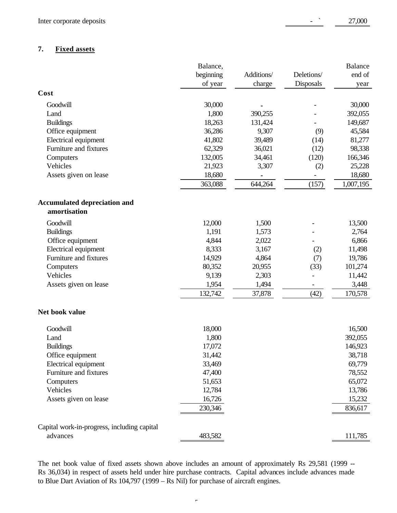## **7. Fixed assets**

|                                             | Balance,  |            |            | Balance   |
|---------------------------------------------|-----------|------------|------------|-----------|
|                                             | beginning | Additions/ | Deletions/ | end of    |
|                                             | of year   | charge     | Disposals  | year      |
| Cost                                        |           |            |            |           |
| Goodwill                                    | 30,000    |            |            | 30,000    |
| Land                                        | 1,800     | 390,255    |            | 392,055   |
| <b>Buildings</b>                            | 18,263    | 131,424    |            | 149,687   |
| Office equipment                            | 36,286    | 9,307      | (9)        | 45,584    |
| Electrical equipment                        | 41,802    | 39,489     | (14)       | 81,277    |
| Furniture and fixtures                      | 62,329    | 36,021     | (12)       | 98,338    |
| Computers                                   | 132,005   | 34,461     | (120)      | 166,346   |
| Vehicles                                    | 21,923    | 3,307      | (2)        | 25,228    |
| Assets given on lease                       | 18,680    | ٠          | -          | 18,680    |
|                                             | 363,088   | 644,264    | (157)      | 1,007,195 |
| <b>Accumulated depreciation and</b>         |           |            |            |           |
| amortisation                                |           |            |            |           |
| Goodwill                                    | 12,000    | 1,500      |            | 13,500    |
| <b>Buildings</b>                            | 1,191     | 1,573      |            | 2,764     |
| Office equipment                            | 4,844     | 2,022      |            | 6,866     |
| Electrical equipment                        | 8,333     | 3,167      | (2)        | 11,498    |
| Furniture and fixtures                      | 14,929    | 4,864      | (7)        | 19,786    |
| Computers                                   | 80,352    | 20,955     | (33)       | 101,274   |
| Vehicles                                    | 9,139     | 2,303      |            | 11,442    |
| Assets given on lease                       | 1,954     | 1,494      | -          | 3,448     |
|                                             | 132,742   | 37,878     | (42)       | 170,578   |
| Net book value                              |           |            |            |           |
| Goodwill                                    | 18,000    |            |            | 16,500    |
| Land                                        | 1,800     |            |            | 392,055   |
| <b>Buildings</b>                            | 17,072    |            |            | 146,923   |
| Office equipment                            | 31,442    |            |            | 38,718    |
| Electrical equipment                        | 33,469    |            |            | 69,779    |
| Furniture and fixtures                      | 47,400    |            |            | 78,552    |
| Computers                                   | 51,653    |            |            | 65,072    |
| Vehicles                                    | 12,784    |            |            | 13,786    |
| Assets given on lease                       | 16,726    |            |            | 15,232    |
|                                             | 230,346   |            |            | 836,617   |
| Capital work-in-progress, including capital |           |            |            |           |
| advances                                    | 483,582   |            |            | 111,785   |

The net book value of fixed assets shown above includes an amount of approximately Rs 29,581 (1999 --Rs 36,034) in respect of assets held under hire purchase contracts. Capital advances include advances made to Blue Dart Aviation of Rs 104,797 (1999 – Rs Nil) for purchase of aircraft engines.

 $\overline{r}$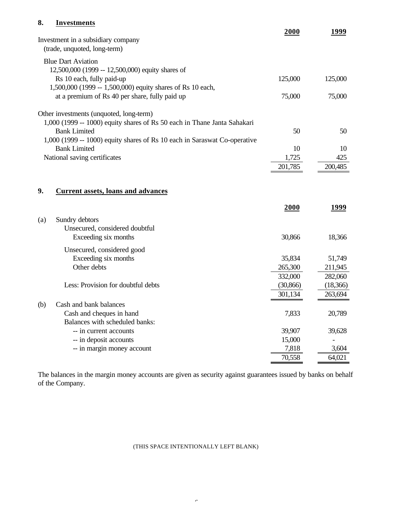# **8. Investments**

|     |                                                                           | 2000      | 1999     |
|-----|---------------------------------------------------------------------------|-----------|----------|
|     | Investment in a subsidiary company                                        |           |          |
|     | (trade, unquoted, long-term)                                              |           |          |
|     | <b>Blue Dart Aviation</b>                                                 |           |          |
|     | 12,500,000 (1999 -- 12,500,000) equity shares of                          |           |          |
|     | Rs 10 each, fully paid-up                                                 | 125,000   | 125,000  |
|     | 1,500,000 (1999 -- 1,500,000) equity shares of Rs 10 each,                |           |          |
|     | at a premium of Rs 40 per share, fully paid up                            | 75,000    | 75,000   |
|     |                                                                           |           |          |
|     | Other investments (unquoted, long-term)                                   |           |          |
|     | 1,000 (1999 -- 1000) equity shares of Rs 50 each in Thane Janta Sahakari  |           |          |
|     | <b>Bank Limited</b>                                                       | 50        | 50       |
|     | 1,000 (1999 -- 1000) equity shares of Rs 10 each in Saraswat Co-operative |           |          |
|     | <b>Bank Limited</b>                                                       | 10        | 10       |
|     | National saving certificates                                              | 1,725     | 425      |
|     |                                                                           | 201,785   | 200,485  |
|     |                                                                           |           |          |
|     |                                                                           |           |          |
| 9.  | <b>Current assets, loans and advances</b>                                 |           |          |
|     |                                                                           | 2000      | 1999     |
|     |                                                                           |           |          |
| (a) | Sundry debtors                                                            |           |          |
|     | Unsecured, considered doubtful                                            |           |          |
|     | Exceeding six months                                                      | 30,866    | 18,366   |
|     | Unsecured, considered good                                                |           |          |
|     | Exceeding six months                                                      | 35,834    | 51,749   |
|     | Other debts                                                               | 265,300   | 211,945  |
|     |                                                                           | 332,000   | 282,060  |
|     | Less: Provision for doubtful debts                                        | (30, 866) | (18,366) |
|     |                                                                           | 301,134   | 263,694  |
| (b) | Cash and bank balances                                                    |           |          |
|     | Cash and cheques in hand                                                  | 7,833     | 20,789   |
|     | Balances with scheduled banks:                                            |           |          |
|     | -- in current accounts                                                    | 39,907    | 39,628   |
|     | -- in deposit accounts                                                    | 15,000    |          |
|     | -- in margin money account                                                | 7,818     | 3,604    |
|     |                                                                           | 70,558    | 64,021   |
|     |                                                                           |           |          |

The balances in the margin money accounts are given as security against guarantees issued by banks on behalf of the Company.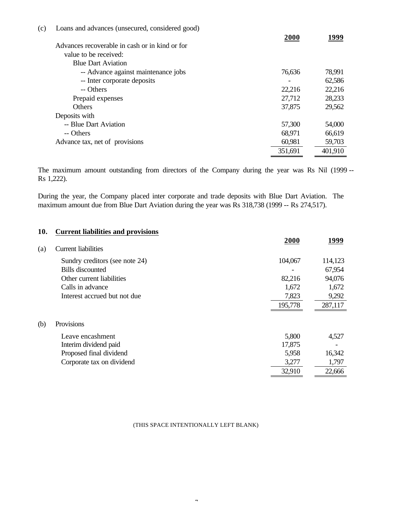| (c) | Loans and advances (unsecured, considered good) |         |         |
|-----|-------------------------------------------------|---------|---------|
|     | Advances recoverable in cash or in kind or for  | 2000    | 1999    |
|     | value to be received:                           |         |         |
|     | <b>Blue Dart Aviation</b>                       |         |         |
|     | -- Advance against maintenance jobs             | 76,636  | 78,991  |
|     | -- Inter corporate deposits                     |         | 62,586  |
|     | -- Others                                       | 22,216  | 22,216  |
|     | Prepaid expenses                                | 27,712  | 28,233  |
|     | <b>Others</b>                                   | 37,875  | 29,562  |
|     | Deposits with                                   |         |         |
|     | -- Blue Dart Aviation                           | 57,300  | 54,000  |
|     | -- Others                                       | 68,971  | 66,619  |
|     | Advance tax, net of provisions                  | 60,981  | 59,703  |
|     |                                                 | 351,691 | 401,910 |

The maximum amount outstanding from directors of the Company during the year was Rs Nil (1999 -- Rs 1,222).

During the year, the Company placed inter corporate and trade deposits with Blue Dart Aviation. The maximum amount due from Blue Dart Aviation during the year was Rs 318,738 (1999 -- Rs 274,517).

| 10. | <b>Current liabilities and provisions</b> |         |         |
|-----|-------------------------------------------|---------|---------|
|     |                                           | 2000    | 1999    |
| (a) | <b>Current liabilities</b>                |         |         |
|     | Sundry creditors (see note 24)            | 104,067 | 114,123 |
|     | <b>Bills</b> discounted                   |         | 67,954  |
|     | Other current liabilities                 | 82,216  | 94,076  |
|     | Calls in advance                          | 1,672   | 1,672   |
|     | Interest accrued but not due              | 7,823   | 9,292   |
|     |                                           | 195,778 | 287,117 |
| (b) | Provisions                                |         |         |
|     | Leave encashment                          | 5,800   | 4,527   |
|     | Interim dividend paid                     | 17,875  |         |
|     | Proposed final dividend                   | 5,958   | 16,342  |
|     | Corporate tax on dividend                 | 3,277   | 1,797   |
|     |                                           | 32,910  | 22,666  |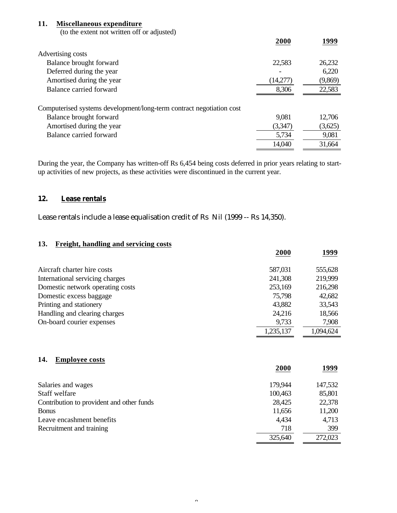## **11. Miscellaneous expenditure**

(to the extent not written off or adjusted)

|                                                                      | 2000     | 1999    |
|----------------------------------------------------------------------|----------|---------|
| Advertising costs                                                    |          |         |
| Balance brought forward                                              | 22,583   | 26,232  |
| Deferred during the year                                             |          | 6,220   |
| Amortised during the year                                            | (14,277) | (9,869) |
| Balance carried forward                                              | 8,306    | 22,583  |
|                                                                      |          |         |
| Computerised systems development/long-term contract negotiation cost |          |         |
| Balance brought forward                                              | 9,081    | 12,706  |
| Amortised during the year                                            | (3,347)  | (3,625) |
| Balance carried forward                                              | 5,734    | 9,081   |
|                                                                      | 14,040   | 31,664  |

During the year, the Company has written-off Rs 6,454 being costs deferred in prior years relating to startup activities of new projects, as these activities were discontinued in the current year.

### **12. Lease rentals**

Lease rentals include a lease equalisation credit of Rs Nil (1999 -- Rs 14,350).

## **13. Freight, handling and servicing costs**

|                                  | 2000      | 1999      |
|----------------------------------|-----------|-----------|
| Aircraft charter hire costs      | 587,031   | 555,628   |
| International servicing charges  | 241,308   | 219,999   |
| Domestic network operating costs | 253,169   | 216,298   |
| Domestic excess baggage          | 75,798    | 42,682    |
| Printing and stationery          | 43,882    | 33,543    |
| Handling and clearing charges    | 24,216    | 18,566    |
| On-board courier expenses        | 9,733     | 7,908     |
|                                  | 1,235,137 | 1,094,624 |

### **14. Employee costs**

|                                           | 2000    | 1999    |
|-------------------------------------------|---------|---------|
| Salaries and wages                        | 179,944 | 147,532 |
| Staff welfare                             | 100,463 | 85,801  |
| Contribution to provident and other funds | 28,425  | 22,378  |
| <b>Bonus</b>                              | 11,656  | 11,200  |
| Leave encashment benefits                 | 4,434   | 4,713   |
| Recruitment and training                  | 718     | 399     |
|                                           | 325,640 | 272,023 |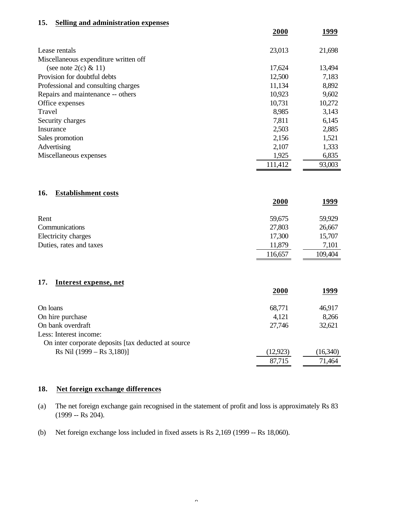#### **15. Selling and administration expenses**

|                                       | 2000    | 1999   |
|---------------------------------------|---------|--------|
| Lease rentals                         | 23,013  | 21,698 |
| Miscellaneous expenditure written off |         |        |
| (see note $2(c) \& 11$ )              | 17,624  | 13,494 |
| Provision for doubtful debts          | 12,500  | 7,183  |
| Professional and consulting charges   | 11,134  | 8,892  |
| Repairs and maintenance -- others     | 10,923  | 9,602  |
| Office expenses                       | 10,731  | 10,272 |
| Travel                                | 8,985   | 3,143  |
| Security charges                      | 7,811   | 6,145  |
| Insurance                             | 2,503   | 2,885  |
| Sales promotion                       | 2,156   | 1,521  |
| Advertising                           | 2,107   | 1,333  |
| Miscellaneous expenses                | 1,925   | 6,835  |
|                                       | 111,412 | 93,003 |

## **16. Establishment costs**

|                         | 2000    | <u> 1999</u> |
|-------------------------|---------|--------------|
| Rent                    | 59,675  | 59,929       |
| Communications          | 27,803  | 26,667       |
| Electricity charges     | 17,300  | 15,707       |
| Duties, rates and taxes | 11,879  | 7,101        |
|                         | 116,657 | 109,404      |

#### **17. Interest expense, net**

|                                                      | 2000      | 1999     |
|------------------------------------------------------|-----------|----------|
| On loans                                             | 68,771    | 46,917   |
| On hire purchase                                     | 4,121     | 8,266    |
| On bank overdraft                                    | 27,746    | 32,621   |
| Less: Interest income:                               |           |          |
| On inter corporate deposits [tax deducted at source] |           |          |
| $\text{Rs Nil} (1999 - \text{Rs } 3,180)$            | (12, 923) | (16,340) |
|                                                      | 87,715    | 71,464   |
|                                                      |           |          |

## **18. Net foreign exchange differences**

- (a) The net foreign exchange gain recognised in the statement of profit and loss is approximately Rs 83 (1999 -- Rs 204).
- (b) Net foreign exchange loss included in fixed assets is Rs 2,169 (1999 -- Rs 18,060).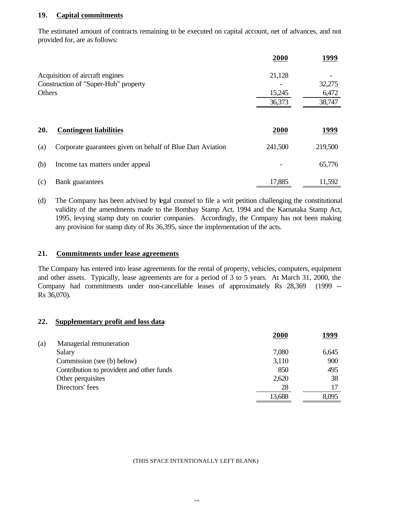### **19. Capital commitments**

The estimated amount of contracts remaining to be executed on capital account, net of advances, and not provided for, are as follows:

|        |                                                            | 2000    | 1999    |
|--------|------------------------------------------------------------|---------|---------|
|        | Acquisition of aircraft engines                            | 21,128  |         |
|        | Construction of "Super-Hub" property                       |         | 32,275  |
| Others |                                                            | 15,245  | 6,472   |
|        |                                                            | 36,373  | 38,747  |
| 20.    | <b>Contingent liabilities</b>                              | 2000    | 1999    |
| (a)    | Corporate guarantees given on behalf of Blue Dart Aviation | 241,500 | 219,500 |
| (b)    | Income tax matters under appeal                            |         | 65,776  |
| (c)    | Bank guarantees                                            | 17,885  | 11,592  |

(d) The Company has been advised by legal counsel to file a writ petition challenging the constitutional validity of the amendments made to the Bombay Stamp Act, 1994 and the Karnataka Stamp Act, 1995, levying stamp duty on courier companies. Accordingly, the Company has not been making any provision for stamp duty of Rs 36,395, since the implementation of the acts.

### **21. Commitments under lease agreements**

The Company has entered into lease agreements for the rental of property, vehicles, computers, equipment and other assets. Typically, lease agreements are for a period of 3 to 5 years. At March 31, 2000, the Company had commitments under non-cancellable leases of approximately Rs 28,369 (1999 -- Rs 36,070).

#### **22. Supplementary profit and loss data**

|     |                                           | 2000   | 1999  |
|-----|-------------------------------------------|--------|-------|
| (a) | Managerial remuneration                   |        |       |
|     | Salary                                    | 7,080  | 6,645 |
|     | Commission (see (b) below)                | 3,110  | 900   |
|     | Contribution to provident and other funds | 850    | 495   |
|     | Other perquisites                         | 2,620  | 38    |
|     | Directors' fees                           | 28     |       |
|     |                                           | 13,688 | 8,095 |
|     |                                           |        |       |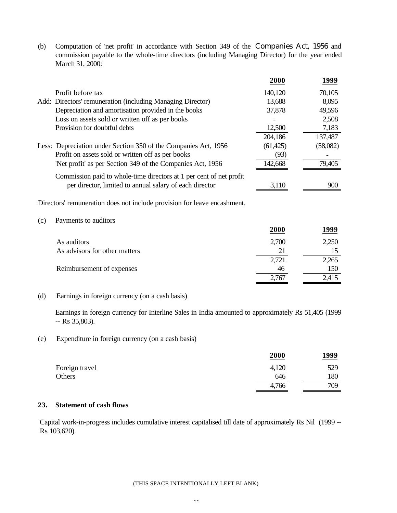(b) Computation of 'net profit' in accordance with Section 349 of the Companies Act, 1956 and commission payable to the whole-time directors (including Managing Director) for the year ended March 31, 2000:

|     |                                                                          | 2000      | 1999     |
|-----|--------------------------------------------------------------------------|-----------|----------|
|     | Profit before tax                                                        | 140,120   | 70,105   |
|     | Add: Directors' remuneration (including Managing Director)               | 13,688    | 8,095    |
|     | Depreciation and amortisation provided in the books                      | 37,878    | 49,596   |
|     | Loss on assets sold or written off as per books                          |           | 2,508    |
|     | Provision for doubtful debts                                             | 12,500    | 7,183    |
|     |                                                                          | 204,186   | 137,487  |
|     | Less: Depreciation under Section 350 of the Companies Act, 1956          | (61, 425) | (58,082) |
|     | Profit on assets sold or written off as per books                        | (93)      |          |
|     | 'Net profit' as per Section 349 of the Companies Act, 1956               | 142,668   | 79,405   |
|     | Commission paid to whole-time directors at 1 per cent of net profit      |           |          |
|     | per director, limited to annual salary of each director                  | 3,110     | 900      |
|     | Directors' remuneration does not include provision for leave encashment. |           |          |
| (c) | Payments to auditors                                                     |           |          |
|     |                                                                          | 2000      | 1999     |
|     | As auditors                                                              | 2,700     | 2,250    |
|     | As advisors for other matters                                            | 21        | 15       |
|     |                                                                          | 2,721     | 2,265    |
|     | Reimbursement of expenses                                                | 46        | 150      |
|     |                                                                          | 2,767     | 2,415    |

### (d) Earnings in foreign currency (on a cash basis)

Earnings in foreign currency for Interline Sales in India amounted to approximately Rs 51,405 (1999 -- Rs 35,803).

(e) Expenditure in foreign currency (on a cash basis)

|                | 2000  | 1999 |
|----------------|-------|------|
| Foreign travel | 4,120 | 529  |
| Others         | 646   | 180  |
|                | 4,766 | 709  |

#### **23. Statement of cash flows**

 Capital work-in-progress includes cumulative interest capitalised till date of approximately Rs Nil (1999 -- Rs 103,620).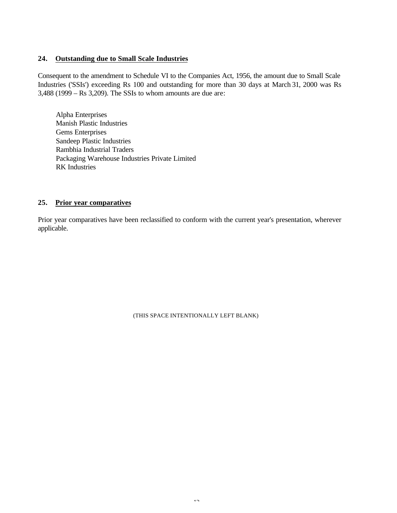### **24. Outstanding due to Small Scale Industries**

Consequent to the amendment to Schedule VI to the Companies Act, 1956, the amount due to Small Scale Industries ('SSIs') exceeding Rs 100 and outstanding for more than 30 days at March 31, 2000 was Rs 3,488 (1999 – Rs 3,209). The SSIs to whom amounts are due are:

Alpha Enterprises Manish Plastic Industries Gems Enterprises Sandeep Plastic Industries Rambhia Industrial Traders Packaging Warehouse Industries Private Limited RK Industries

### **25. Prior year comparatives**

Prior year comparatives have been reclassified to conform with the current year's presentation, wherever applicable.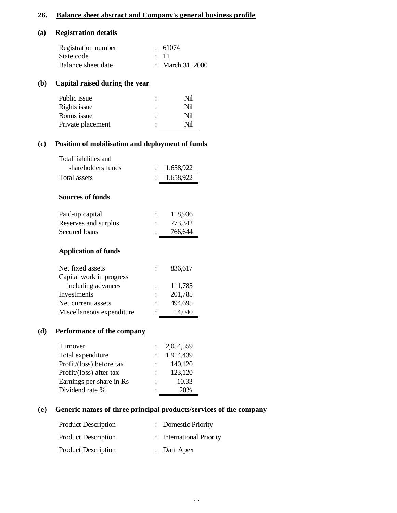# **26. Balance sheet abstract and Company's general business profile**

## **(a) Registration details**

| Registration number | : 61074          |
|---------------------|------------------|
| State code          | $\div$ 11        |
| Balance sheet date  | : March 31, 2000 |

# **(b) Capital raised during the year**

| Public issue      |   | Nil |
|-------------------|---|-----|
| Rights issue      | ٠ | Nil |
| Bonus issue       |   | Nil |
| Private placement | ٠ | Nil |
|                   |   |     |

# **(c) Position of mobilisation and deployment of funds**

| Total liabilities and<br>shareholders funds | 1,658,922 |
|---------------------------------------------|-----------|
| Total assets                                | 1,658,922 |
| Sources of funds                            |           |
| Paid-up capital                             | 118,936   |
| Reserves and surplus                        | 773,342   |
| <b>Secured</b> loans                        | 766,644   |
| <b>Application of funds</b>                 |           |
| Net fixed assets                            | 836,617   |
| Capital work in progress                    |           |
| including advances                          | 111,785   |
| Investments                                 | 201,785   |
| Net current assets                          | 494,695   |
| Miscellaneous expenditure                   | 14,040    |

## **(d) Performance of the company**

| Turnover                 | 2,054,559 |
|--------------------------|-----------|
| Total expenditure        | 1,914,439 |
| Profit/(loss) before tax | 140,120   |
| Profit/(loss) after tax  | 123,120   |
| Earnings per share in Rs | 10.33     |
| Dividend rate %          | 20%       |

# **(e) Generic names of three principal products/services of the company**

| <b>Product Description</b> | : Domestic Priority      |
|----------------------------|--------------------------|
| <b>Product Description</b> | : International Priority |
| <b>Product Description</b> | $:$ Dart Apex            |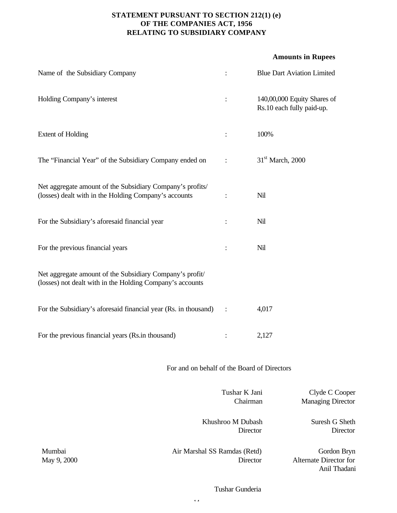# **STATEMENT PURSUANT TO SECTION 212(1) (e) OF THE COMPANIES ACT, 1956 RELATING TO SUBSIDIARY COMPANY**

### **Amounts in Rupees**

| Name of the Subsidiary Company                                                                                        | $\ddot{\cdot}$                | <b>Blue Dart Aviation Limited</b>                        |
|-----------------------------------------------------------------------------------------------------------------------|-------------------------------|----------------------------------------------------------|
| Holding Company's interest                                                                                            |                               | 140,00,000 Equity Shares of<br>Rs.10 each fully paid-up. |
| <b>Extent of Holding</b>                                                                                              |                               | 100%                                                     |
| The "Financial Year" of the Subsidiary Company ended on                                                               | $\ddot{\cdot}$                | $31st$ March, 2000                                       |
| Net aggregate amount of the Subsidiary Company's profits/<br>(losses) dealt with in the Holding Company's accounts    | $\ddot{\cdot}$                | Nil                                                      |
| For the Subsidiary's aforesaid financial year                                                                         | $\ddot{\cdot}$                | Nil                                                      |
| For the previous financial years                                                                                      | ÷                             | Nil                                                      |
| Net aggregate amount of the Subsidiary Company's profit/<br>(losses) not dealt with in the Holding Company's accounts |                               |                                                          |
| For the Subsidiary's aforesaid financial year (Rs. in thousand)                                                       | $\ddot{\cdot}$                | 4,017                                                    |
| For the previous financial years (Rs.in thousand)                                                                     | ÷                             | 2,127                                                    |
| For and on behalf of the Board of Directors                                                                           |                               |                                                          |
|                                                                                                                       | Tushar K Jani<br>Chairman     | Clyde C Cooper<br><b>Managing Director</b>               |
|                                                                                                                       | Khushroo M Dubash<br>Director | Suresh G Sheth<br>Director                               |
| M<br>$\lambda$ in Morphol CC Domdos (Dotd)                                                                            |                               | $C_{\alpha}$ ndon Dwn                                    |

Mumbai May 9, 2000 Air Marshal SS Ramdas (Retd) **Director** 

Gordon Bryn Alternate Director for Anil Thadani

Tushar Gunderia